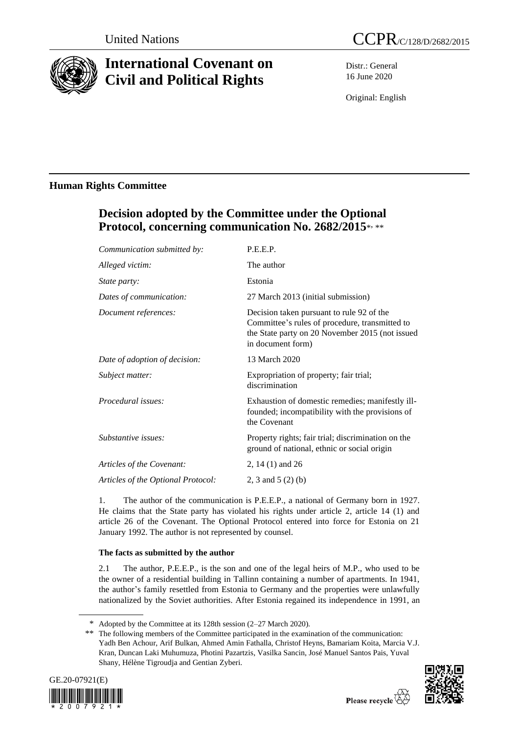

# **International Covenant on Civil and Political Rights**

Distr.: General 16 June 2020

Original: English

### **Human Rights Committee**

## **Decision adopted by the Committee under the Optional Protocol, concerning communication No. 2682/2015**\* , \*\*

| Communication submitted by:        | P.E.E.P.                                                                                                                                                            |
|------------------------------------|---------------------------------------------------------------------------------------------------------------------------------------------------------------------|
| Alleged victim:                    | The author                                                                                                                                                          |
| <i>State party:</i>                | Estonia                                                                                                                                                             |
| Dates of communication:            | 27 March 2013 (initial submission)                                                                                                                                  |
| Document references:               | Decision taken pursuant to rule 92 of the<br>Committee's rules of procedure, transmitted to<br>the State party on 20 November 2015 (not issued<br>in document form) |
| Date of adoption of decision:      | 13 March 2020                                                                                                                                                       |
| Subject matter:                    | Expropriation of property; fair trial;<br>discrimination                                                                                                            |
| Procedural issues:                 | Exhaustion of domestic remedies; manifestly ill-<br>founded; incompatibility with the provisions of<br>the Covenant                                                 |
| Substantive issues:                | Property rights; fair trial; discrimination on the<br>ground of national, ethnic or social origin                                                                   |
| Articles of the Covenant:          | 2, 14 $(1)$ and 26                                                                                                                                                  |
| Articles of the Optional Protocol: | 2, 3 and 5 $(2)$ (b)                                                                                                                                                |
|                                    |                                                                                                                                                                     |

1. The author of the communication is P.E.E.P., a national of Germany born in 1927. He claims that the State party has violated his rights under article 2, article 14 (1) and article 26 of the Covenant. The Optional Protocol entered into force for Estonia on 21 January 1992. The author is not represented by counsel.

### **The facts as submitted by the author**

2.1 The author, P.E.E.P., is the son and one of the legal heirs of M.P., who used to be the owner of a residential building in Tallinn containing a number of apartments. In 1941, the author's family resettled from Estonia to Germany and the properties were unlawfully nationalized by the Soviet authorities. After Estonia regained its independence in 1991, an

<sup>\*\*</sup> The following members of the Committee participated in the examination of the communication: Yadh Ben Achour, Arif Bulkan, Ahmed Amin Fathalla, Christof Heyns, Bamariam Koita, Marcia V.J. Kran, Duncan Laki Muhumuza, Photini Pazartzis, Vasilka Sancin, José Manuel Santos Pais, Yuval Shany, Hélène Tigroudja and Gentian Zyberi.





<sup>\*</sup> Adopted by the Committee at its 128th session (2–27 March 2020).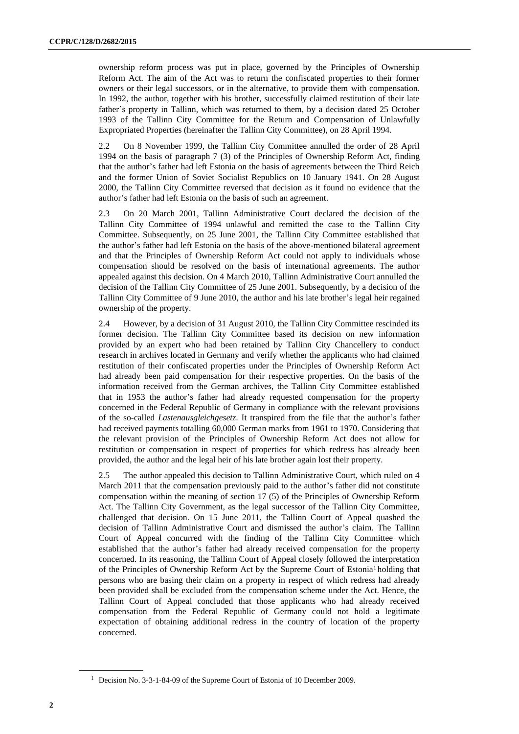ownership reform process was put in place, governed by the Principles of Ownership Reform Act. The aim of the Act was to return the confiscated properties to their former owners or their legal successors, or in the alternative, to provide them with compensation. In 1992, the author, together with his brother, successfully claimed restitution of their late father's property in Tallinn, which was returned to them, by a decision dated 25 October 1993 of the Tallinn City Committee for the Return and Compensation of Unlawfully Expropriated Properties (hereinafter the Tallinn City Committee), on 28 April 1994.

2.2 On 8 November 1999, the Tallinn City Committee annulled the order of 28 April 1994 on the basis of paragraph 7 (3) of the Principles of Ownership Reform Act, finding that the author's father had left Estonia on the basis of agreements between the Third Reich and the former Union of Soviet Socialist Republics on 10 January 1941. On 28 August 2000, the Tallinn City Committee reversed that decision as it found no evidence that the author's father had left Estonia on the basis of such an agreement.

2.3 On 20 March 2001, Tallinn Administrative Court declared the decision of the Tallinn City Committee of 1994 unlawful and remitted the case to the Tallinn City Committee. Subsequently, on 25 June 2001, the Tallinn City Committee established that the author's father had left Estonia on the basis of the above-mentioned bilateral agreement and that the Principles of Ownership Reform Act could not apply to individuals whose compensation should be resolved on the basis of international agreements. The author appealed against this decision. On 4 March 2010, Tallinn Administrative Court annulled the decision of the Tallinn City Committee of 25 June 2001. Subsequently, by a decision of the Tallinn City Committee of 9 June 2010, the author and his late brother's legal heir regained ownership of the property.

2.4 However, by a decision of 31 August 2010, the Tallinn City Committee rescinded its former decision. The Tallinn City Committee based its decision on new information provided by an expert who had been retained by Tallinn City Chancellery to conduct research in archives located in Germany and verify whether the applicants who had claimed restitution of their confiscated properties under the Principles of Ownership Reform Act had already been paid compensation for their respective properties. On the basis of the information received from the German archives, the Tallinn City Committee established that in 1953 the author's father had already requested compensation for the property concerned in the Federal Republic of Germany in compliance with the relevant provisions of the so-called *Lastenausgleichgesetz*. It transpired from the file that the author's father had received payments totalling 60,000 German marks from 1961 to 1970. Considering that the relevant provision of the Principles of Ownership Reform Act does not allow for restitution or compensation in respect of properties for which redress has already been provided, the author and the legal heir of his late brother again lost their property.

2.5 The author appealed this decision to Tallinn Administrative Court, which ruled on 4 March 2011 that the compensation previously paid to the author's father did not constitute compensation within the meaning of section 17 (5) of the Principles of Ownership Reform Act. The Tallinn City Government, as the legal successor of the Tallinn City Committee, challenged that decision. On 15 June 2011, the Tallinn Court of Appeal quashed the decision of Tallinn Administrative Court and dismissed the author's claim. The Tallinn Court of Appeal concurred with the finding of the Tallinn City Committee which established that the author's father had already received compensation for the property concerned. In its reasoning, the Tallinn Court of Appeal closely followed the interpretation of the Principles of Ownership Reform Act by the Supreme Court of Estonia<sup>1</sup> holding that persons who are basing their claim on a property in respect of which redress had already been provided shall be excluded from the compensation scheme under the Act. Hence, the Tallinn Court of Appeal concluded that those applicants who had already received compensation from the Federal Republic of Germany could not hold a legitimate expectation of obtaining additional redress in the country of location of the property concerned.

<sup>&</sup>lt;sup>1</sup> Decision No. 3-3-1-84-09 of the Supreme Court of Estonia of 10 December 2009.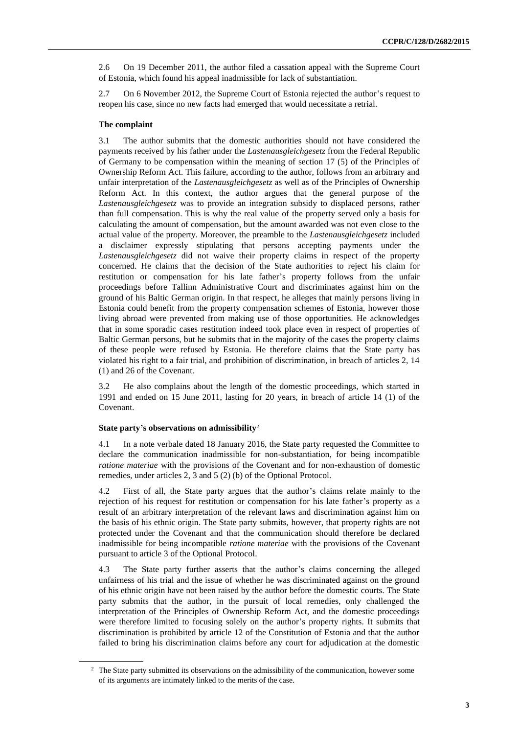2.6 On 19 December 2011, the author filed a cassation appeal with the Supreme Court of Estonia, which found his appeal inadmissible for lack of substantiation.

2.7 On 6 November 2012, the Supreme Court of Estonia rejected the author's request to reopen his case, since no new facts had emerged that would necessitate a retrial.

#### **The complaint**

3.1 The author submits that the domestic authorities should not have considered the payments received by his father under the *Lastenausgleichgesetz* from the Federal Republic of Germany to be compensation within the meaning of section 17 (5) of the Principles of Ownership Reform Act. This failure, according to the author, follows from an arbitrary and unfair interpretation of the *Lastenausgleichgesetz* as well as of the Principles of Ownership Reform Act. In this context, the author argues that the general purpose of the *Lastenausgleichgesetz* was to provide an integration subsidy to displaced persons, rather than full compensation. This is why the real value of the property served only a basis for calculating the amount of compensation, but the amount awarded was not even close to the actual value of the property. Moreover, the preamble to the *Lastenausgleichgesetz* included a disclaimer expressly stipulating that persons accepting payments under the *Lastenausgleichgesetz* did not waive their property claims in respect of the property concerned. He claims that the decision of the State authorities to reject his claim for restitution or compensation for his late father's property follows from the unfair proceedings before Tallinn Administrative Court and discriminates against him on the ground of his Baltic German origin. In that respect, he alleges that mainly persons living in Estonia could benefit from the property compensation schemes of Estonia, however those living abroad were prevented from making use of those opportunities. He acknowledges that in some sporadic cases restitution indeed took place even in respect of properties of Baltic German persons, but he submits that in the majority of the cases the property claims of these people were refused by Estonia. He therefore claims that the State party has violated his right to a fair trial, and prohibition of discrimination, in breach of articles 2, 14 (1) and 26 of the Covenant.

3.2 He also complains about the length of the domestic proceedings, which started in 1991 and ended on 15 June 2011, lasting for 20 years, in breach of article 14 (1) of the Covenant.

#### **State party's observations on admissibility**<sup>2</sup>

4.1 In a note verbale dated 18 January 2016, the State party requested the Committee to declare the communication inadmissible for non-substantiation, for being incompatible *ratione materiae* with the provisions of the Covenant and for non-exhaustion of domestic remedies, under articles 2, 3 and 5 (2) (b) of the Optional Protocol.

4.2 First of all, the State party argues that the author's claims relate mainly to the rejection of his request for restitution or compensation for his late father's property as a result of an arbitrary interpretation of the relevant laws and discrimination against him on the basis of his ethnic origin. The State party submits, however, that property rights are not protected under the Covenant and that the communication should therefore be declared inadmissible for being incompatible *ratione materiae* with the provisions of the Covenant pursuant to article 3 of the Optional Protocol.

4.3 The State party further asserts that the author's claims concerning the alleged unfairness of his trial and the issue of whether he was discriminated against on the ground of his ethnic origin have not been raised by the author before the domestic courts. The State party submits that the author, in the pursuit of local remedies, only challenged the interpretation of the Principles of Ownership Reform Act, and the domestic proceedings were therefore limited to focusing solely on the author's property rights. It submits that discrimination is prohibited by article 12 of the Constitution of Estonia and that the author failed to bring his discrimination claims before any court for adjudication at the domestic

<sup>&</sup>lt;sup>2</sup> The State party submitted its observations on the admissibility of the communication, however some of its arguments are intimately linked to the merits of the case.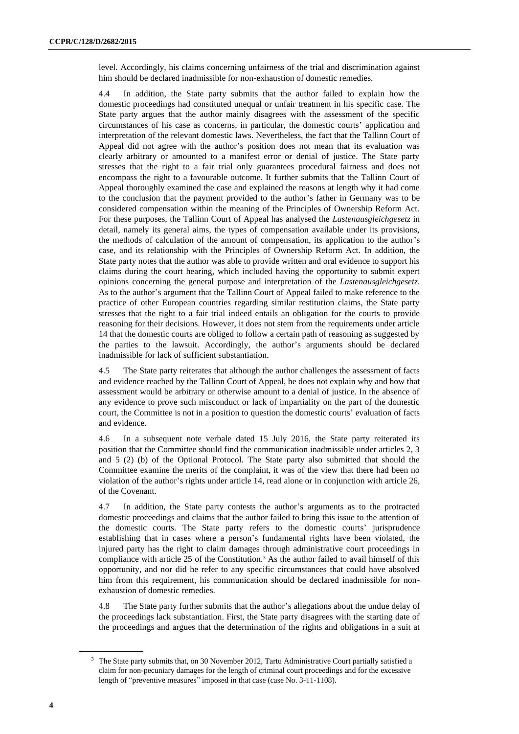level. Accordingly, his claims concerning unfairness of the trial and discrimination against him should be declared inadmissible for non-exhaustion of domestic remedies.

4.4 In addition, the State party submits that the author failed to explain how the domestic proceedings had constituted unequal or unfair treatment in his specific case. The State party argues that the author mainly disagrees with the assessment of the specific circumstances of his case as concerns, in particular, the domestic courts' application and interpretation of the relevant domestic laws. Nevertheless, the fact that the Tallinn Court of Appeal did not agree with the author's position does not mean that its evaluation was clearly arbitrary or amounted to a manifest error or denial of justice. The State party stresses that the right to a fair trial only guarantees procedural fairness and does not encompass the right to a favourable outcome. It further submits that the Tallinn Court of Appeal thoroughly examined the case and explained the reasons at length why it had come to the conclusion that the payment provided to the author's father in Germany was to be considered compensation within the meaning of the Principles of Ownership Reform Act. For these purposes, the Tallinn Court of Appeal has analysed the *Lastenausgleichgesetz* in detail, namely its general aims, the types of compensation available under its provisions, the methods of calculation of the amount of compensation, its application to the author's case, and its relationship with the Principles of Ownership Reform Act. In addition, the State party notes that the author was able to provide written and oral evidence to support his claims during the court hearing, which included having the opportunity to submit expert opinions concerning the general purpose and interpretation of the *Lastenausgleichgesetz*. As to the author's argument that the Tallinn Court of Appeal failed to make reference to the practice of other European countries regarding similar restitution claims, the State party stresses that the right to a fair trial indeed entails an obligation for the courts to provide reasoning for their decisions. However, it does not stem from the requirements under article 14 that the domestic courts are obliged to follow a certain path of reasoning as suggested by the parties to the lawsuit. Accordingly, the author's arguments should be declared inadmissible for lack of sufficient substantiation.

4.5 The State party reiterates that although the author challenges the assessment of facts and evidence reached by the Tallinn Court of Appeal, he does not explain why and how that assessment would be arbitrary or otherwise amount to a denial of justice. In the absence of any evidence to prove such misconduct or lack of impartiality on the part of the domestic court, the Committee is not in a position to question the domestic courts' evaluation of facts and evidence.

4.6 In a subsequent note verbale dated 15 July 2016, the State party reiterated its position that the Committee should find the communication inadmissible under articles 2, 3 and 5 (2) (b) of the Optional Protocol. The State party also submitted that should the Committee examine the merits of the complaint, it was of the view that there had been no violation of the author's rights under article 14, read alone or in conjunction with article 26, of the Covenant.

4.7 In addition, the State party contests the author's arguments as to the protracted domestic proceedings and claims that the author failed to bring this issue to the attention of the domestic courts. The State party refers to the domestic courts' jurisprudence establishing that in cases where a person's fundamental rights have been violated, the injured party has the right to claim damages through administrative court proceedings in compliance with article 25 of the Constitution.<sup>3</sup> As the author failed to avail himself of this opportunity, and nor did he refer to any specific circumstances that could have absolved him from this requirement, his communication should be declared inadmissible for nonexhaustion of domestic remedies.

4.8 The State party further submits that the author's allegations about the undue delay of the proceedings lack substantiation. First, the State party disagrees with the starting date of the proceedings and argues that the determination of the rights and obligations in a suit at

<sup>&</sup>lt;sup>3</sup> The State party submits that, on 30 November 2012, Tartu Administrative Court partially satisfied a claim for non-pecuniary damages for the length of criminal court proceedings and for the excessive length of "preventive measures" imposed in that case (case No. 3-11-1108).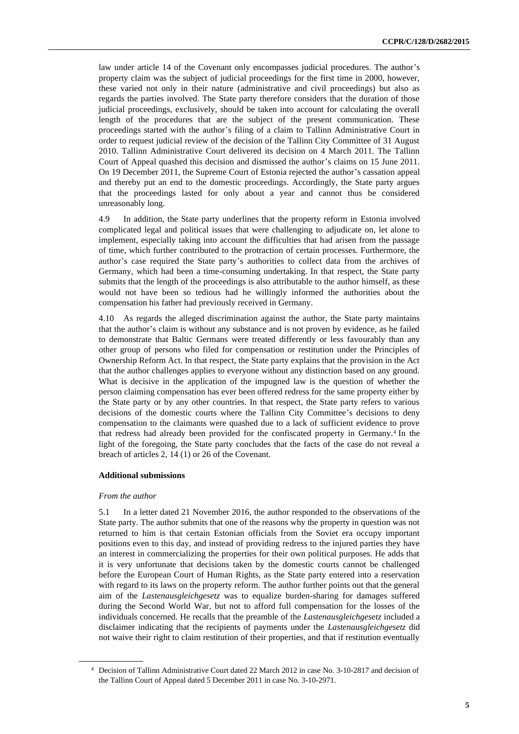law under article 14 of the Covenant only encompasses judicial procedures. The author's property claim was the subject of judicial proceedings for the first time in 2000, however, these varied not only in their nature (administrative and civil proceedings) but also as regards the parties involved. The State party therefore considers that the duration of those judicial proceedings, exclusively, should be taken into account for calculating the overall length of the procedures that are the subject of the present communication. These proceedings started with the author's filing of a claim to Tallinn Administrative Court in order to request judicial review of the decision of the Tallinn City Committee of 31 August 2010. Tallinn Administrative Court delivered its decision on 4 March 2011. The Tallinn Court of Appeal quashed this decision and dismissed the author's claims on 15 June 2011. On 19 December 2011, the Supreme Court of Estonia rejected the author's cassation appeal and thereby put an end to the domestic proceedings. Accordingly, the State party argues that the proceedings lasted for only about a year and cannot thus be considered unreasonably long.

4.9 In addition, the State party underlines that the property reform in Estonia involved complicated legal and political issues that were challenging to adjudicate on, let alone to implement, especially taking into account the difficulties that had arisen from the passage of time, which further contributed to the protraction of certain processes. Furthermore, the author's case required the State party's authorities to collect data from the archives of Germany, which had been a time-consuming undertaking. In that respect, the State party submits that the length of the proceedings is also attributable to the author himself, as these would not have been so tedious had he willingly informed the authorities about the compensation his father had previously received in Germany.

4.10 As regards the alleged discrimination against the author, the State party maintains that the author's claim is without any substance and is not proven by evidence, as he failed to demonstrate that Baltic Germans were treated differently or less favourably than any other group of persons who filed for compensation or restitution under the Principles of Ownership Reform Act. In that respect, the State party explains that the provision in the Act that the author challenges applies to everyone without any distinction based on any ground. What is decisive in the application of the impugned law is the question of whether the person claiming compensation has ever been offered redress for the same property either by the State party or by any other countries. In that respect, the State party refers to various decisions of the domestic courts where the Tallinn City Committee's decisions to deny compensation to the claimants were quashed due to a lack of sufficient evidence to prove that redress had already been provided for the confiscated property in Germany.<sup>4</sup> In the light of the foregoing, the State party concludes that the facts of the case do not reveal a breach of articles 2, 14 (1) or 26 of the Covenant.

#### **Additional submissions**

#### *From the author*

5.1 In a letter dated 21 November 2016, the author responded to the observations of the State party. The author submits that one of the reasons why the property in question was not returned to him is that certain Estonian officials from the Soviet era occupy important positions even to this day, and instead of providing redress to the injured parties they have an interest in commercializing the properties for their own political purposes. He adds that it is very unfortunate that decisions taken by the domestic courts cannot be challenged before the European Court of Human Rights, as the State party entered into a reservation with regard to its laws on the property reform. The author further points out that the general aim of the *Lastenausgleichgesetz* was to equalize burden-sharing for damages suffered during the Second World War, but not to afford full compensation for the losses of the individuals concerned. He recalls that the preamble of the *Lastenausgleichgesetz* included a disclaimer indicating that the recipients of payments under the *Lastenausgleichgesetz* did not waive their right to claim restitution of their properties, and that if restitution eventually

<sup>4</sup> Decision of Tallinn Administrative Court dated 22 March 2012 in case No. 3-10-2817 and decision of the Tallinn Court of Appeal dated 5 December 2011 in case No. 3-10-2971.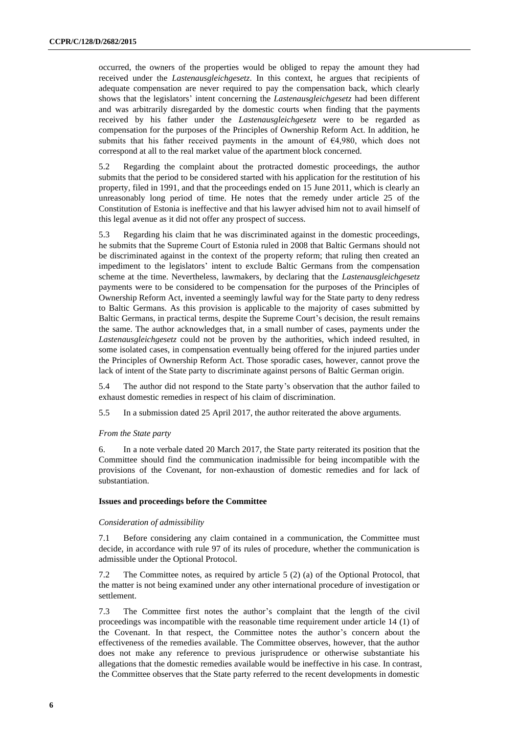occurred, the owners of the properties would be obliged to repay the amount they had received under the *Lastenausgleichgesetz*. In this context, he argues that recipients of adequate compensation are never required to pay the compensation back, which clearly shows that the legislators' intent concerning the *Lastenausgleichgesetz* had been different and was arbitrarily disregarded by the domestic courts when finding that the payments received by his father under the *Lastenausgleichgesetz* were to be regarded as compensation for the purposes of the Principles of Ownership Reform Act. In addition, he submits that his father received payments in the amount of  $64,980$ , which does not correspond at all to the real market value of the apartment block concerned.

5.2 Regarding the complaint about the protracted domestic proceedings, the author submits that the period to be considered started with his application for the restitution of his property, filed in 1991, and that the proceedings ended on 15 June 2011, which is clearly an unreasonably long period of time. He notes that the remedy under article 25 of the Constitution of Estonia is ineffective and that his lawyer advised him not to avail himself of this legal avenue as it did not offer any prospect of success.

5.3 Regarding his claim that he was discriminated against in the domestic proceedings, he submits that the Supreme Court of Estonia ruled in 2008 that Baltic Germans should not be discriminated against in the context of the property reform; that ruling then created an impediment to the legislators' intent to exclude Baltic Germans from the compensation scheme at the time. Nevertheless, lawmakers, by declaring that the *Lastenausgleichgesetz* payments were to be considered to be compensation for the purposes of the Principles of Ownership Reform Act, invented a seemingly lawful way for the State party to deny redress to Baltic Germans. As this provision is applicable to the majority of cases submitted by Baltic Germans, in practical terms, despite the Supreme Court's decision, the result remains the same. The author acknowledges that, in a small number of cases, payments under the *Lastenausgleichgesetz* could not be proven by the authorities, which indeed resulted, in some isolated cases, in compensation eventually being offered for the injured parties under the Principles of Ownership Reform Act. Those sporadic cases, however, cannot prove the lack of intent of the State party to discriminate against persons of Baltic German origin.

5.4 The author did not respond to the State party's observation that the author failed to exhaust domestic remedies in respect of his claim of discrimination.

5.5 In a submission dated 25 April 2017, the author reiterated the above arguments.

#### *From the State party*

6. In a note verbale dated 20 March 2017, the State party reiterated its position that the Committee should find the communication inadmissible for being incompatible with the provisions of the Covenant, for non-exhaustion of domestic remedies and for lack of substantiation.

#### **Issues and proceedings before the Committee**

#### *Consideration of admissibility*

7.1 Before considering any claim contained in a communication, the Committee must decide, in accordance with rule 97 of its rules of procedure, whether the communication is admissible under the Optional Protocol.

7.2 The Committee notes, as required by article 5 (2) (a) of the Optional Protocol, that the matter is not being examined under any other international procedure of investigation or settlement.

7.3 The Committee first notes the author's complaint that the length of the civil proceedings was incompatible with the reasonable time requirement under article 14 (1) of the Covenant. In that respect, the Committee notes the author's concern about the effectiveness of the remedies available. The Committee observes, however, that the author does not make any reference to previous jurisprudence or otherwise substantiate his allegations that the domestic remedies available would be ineffective in his case. In contrast, the Committee observes that the State party referred to the recent developments in domestic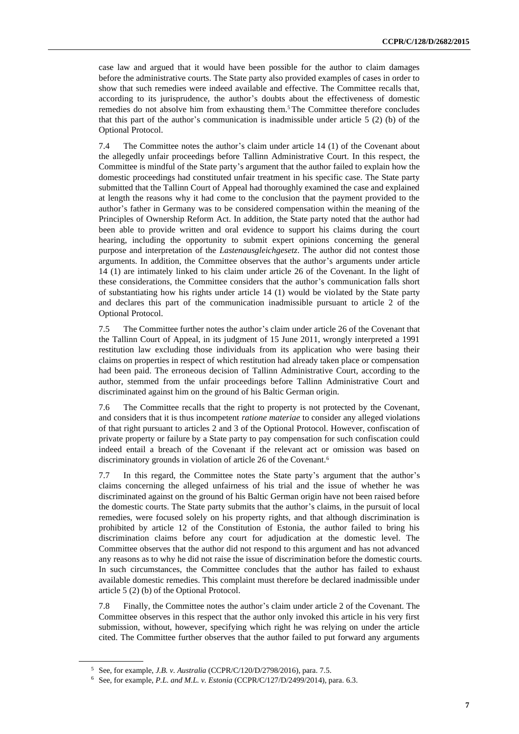case law and argued that it would have been possible for the author to claim damages before the administrative courts. The State party also provided examples of cases in order to show that such remedies were indeed available and effective. The Committee recalls that, according to its jurisprudence, the author's doubts about the effectiveness of domestic remedies do not absolve him from exhausting them.<sup>5</sup> The Committee therefore concludes that this part of the author's communication is inadmissible under article  $5(2)$  (b) of the Optional Protocol.

7.4 The Committee notes the author's claim under article 14 (1) of the Covenant about the allegedly unfair proceedings before Tallinn Administrative Court. In this respect, the Committee is mindful of the State party's argument that the author failed to explain how the domestic proceedings had constituted unfair treatment in his specific case. The State party submitted that the Tallinn Court of Appeal had thoroughly examined the case and explained at length the reasons why it had come to the conclusion that the payment provided to the author's father in Germany was to be considered compensation within the meaning of the Principles of Ownership Reform Act. In addition, the State party noted that the author had been able to provide written and oral evidence to support his claims during the court hearing, including the opportunity to submit expert opinions concerning the general purpose and interpretation of the *Lastenausgleichgesetz*. The author did not contest those arguments. In addition, the Committee observes that the author's arguments under article 14 (1) are intimately linked to his claim under article 26 of the Covenant. In the light of these considerations, the Committee considers that the author's communication falls short of substantiating how his rights under article 14 (1) would be violated by the State party and declares this part of the communication inadmissible pursuant to article 2 of the Optional Protocol.

7.5 The Committee further notes the author's claim under article 26 of the Covenant that the Tallinn Court of Appeal, in its judgment of 15 June 2011, wrongly interpreted a 1991 restitution law excluding those individuals from its application who were basing their claims on properties in respect of which restitution had already taken place or compensation had been paid. The erroneous decision of Tallinn Administrative Court, according to the author, stemmed from the unfair proceedings before Tallinn Administrative Court and discriminated against him on the ground of his Baltic German origin.

7.6 The Committee recalls that the right to property is not protected by the Covenant, and considers that it is thus incompetent *ratione materiae* to consider any alleged violations of that right pursuant to articles 2 and 3 of the Optional Protocol. However, confiscation of private property or failure by a State party to pay compensation for such confiscation could indeed entail a breach of the Covenant if the relevant act or omission was based on discriminatory grounds in violation of article 26 of the Covenant.<sup>6</sup>

7.7 In this regard, the Committee notes the State party's argument that the author's claims concerning the alleged unfairness of his trial and the issue of whether he was discriminated against on the ground of his Baltic German origin have not been raised before the domestic courts. The State party submits that the author's claims, in the pursuit of local remedies, were focused solely on his property rights, and that although discrimination is prohibited by article 12 of the Constitution of Estonia, the author failed to bring his discrimination claims before any court for adjudication at the domestic level. The Committee observes that the author did not respond to this argument and has not advanced any reasons as to why he did not raise the issue of discrimination before the domestic courts. In such circumstances, the Committee concludes that the author has failed to exhaust available domestic remedies. This complaint must therefore be declared inadmissible under article 5 (2) (b) of the Optional Protocol.

7.8 Finally, the Committee notes the author's claim under article 2 of the Covenant. The Committee observes in this respect that the author only invoked this article in his very first submission, without, however, specifying which right he was relying on under the article cited. The Committee further observes that the author failed to put forward any arguments

<sup>5</sup> See, for example, *J.B. v. Australia* (CCPR/C/120/D/2798/2016), para. 7.5.

<sup>6</sup> See, for example, *P.L. and M.L. v. Estonia* (CCPR/C/127/D/2499/2014), para. 6.3.